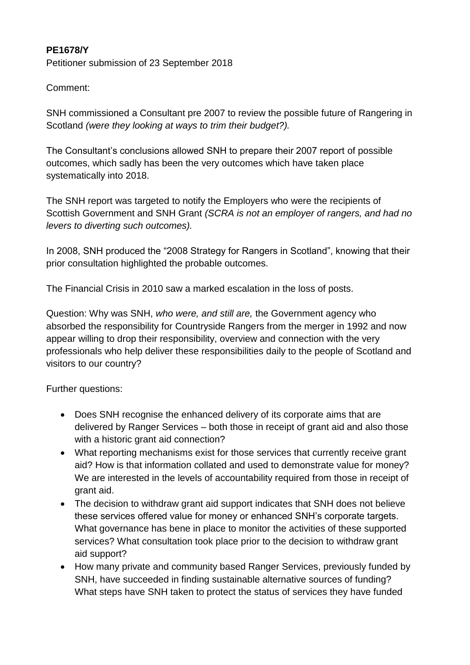## **PE1678/Y**

Petitioner submission of 23 September 2018

## Comment:

SNH commissioned a Consultant pre 2007 to review the possible future of Rangering in Scotland *(were they looking at ways to trim their budget?).*

The Consultant's conclusions allowed SNH to prepare their 2007 report of possible outcomes, which sadly has been the very outcomes which have taken place systematically into 2018.

The SNH report was targeted to notify the Employers who were the recipients of Scottish Government and SNH Grant *(SCRA is not an employer of rangers, and had no levers to diverting such outcomes).* 

In 2008, SNH produced the "2008 Strategy for Rangers in Scotland", knowing that their prior consultation highlighted the probable outcomes.

The Financial Crisis in 2010 saw a marked escalation in the loss of posts.

Question: Why was SNH, *who were, and still are,* the Government agency who absorbed the responsibility for Countryside Rangers from the merger in 1992 and now appear willing to drop their responsibility, overview and connection with the very professionals who help deliver these responsibilities daily to the people of Scotland and visitors to our country?

Further questions:

- Does SNH recognise the enhanced delivery of its corporate aims that are delivered by Ranger Services – both those in receipt of grant aid and also those with a historic grant aid connection?
- What reporting mechanisms exist for those services that currently receive grant aid? How is that information collated and used to demonstrate value for money? We are interested in the levels of accountability required from those in receipt of grant aid.
- The decision to withdraw grant aid support indicates that SNH does not believe these services offered value for money or enhanced SNH's corporate targets. What governance has bene in place to monitor the activities of these supported services? What consultation took place prior to the decision to withdraw grant aid support?
- How many private and community based Ranger Services, previously funded by SNH, have succeeded in finding sustainable alternative sources of funding? What steps have SNH taken to protect the status of services they have funded